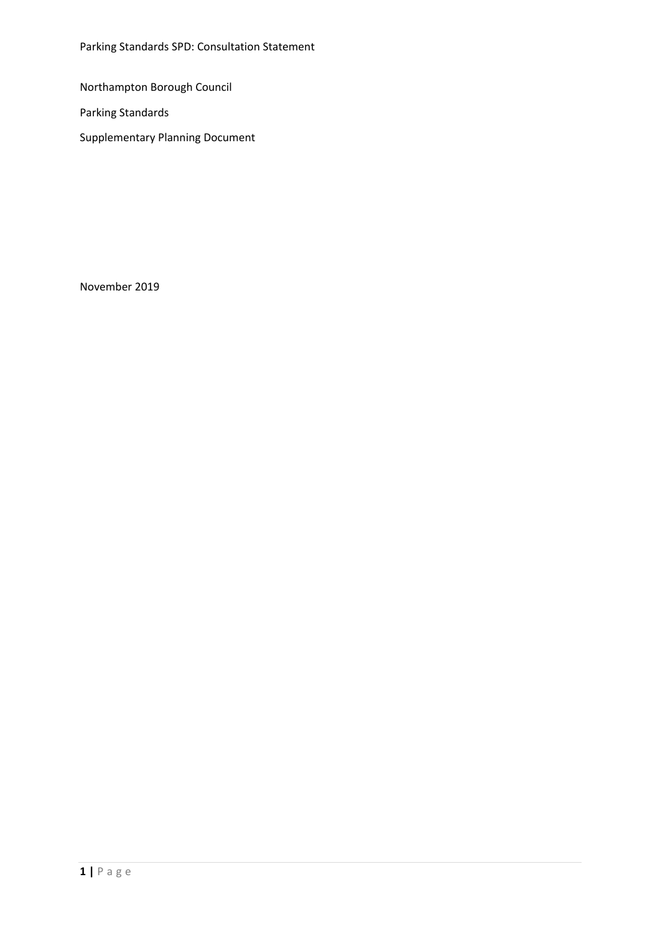Parking Standards SPD: Consultation Statement

Northampton Borough Council

Parking Standards

Supplementary Planning Document

November 2019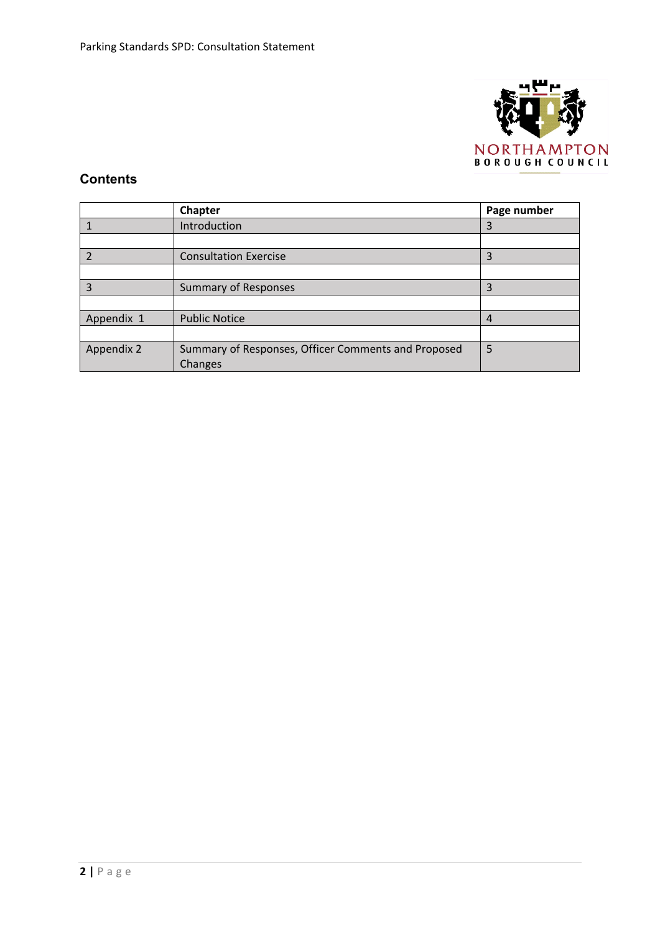

# **Contents**

|                | <b>Chapter</b>                                                        | Page number |
|----------------|-----------------------------------------------------------------------|-------------|
|                | Introduction                                                          | 3           |
|                |                                                                       |             |
| $\overline{2}$ | <b>Consultation Exercise</b>                                          | 3           |
|                |                                                                       |             |
| 3              | <b>Summary of Responses</b>                                           | 3           |
|                |                                                                       |             |
| Appendix 1     | <b>Public Notice</b>                                                  | 4           |
|                |                                                                       |             |
| Appendix 2     | Summary of Responses, Officer Comments and Proposed<br><b>Changes</b> | 5           |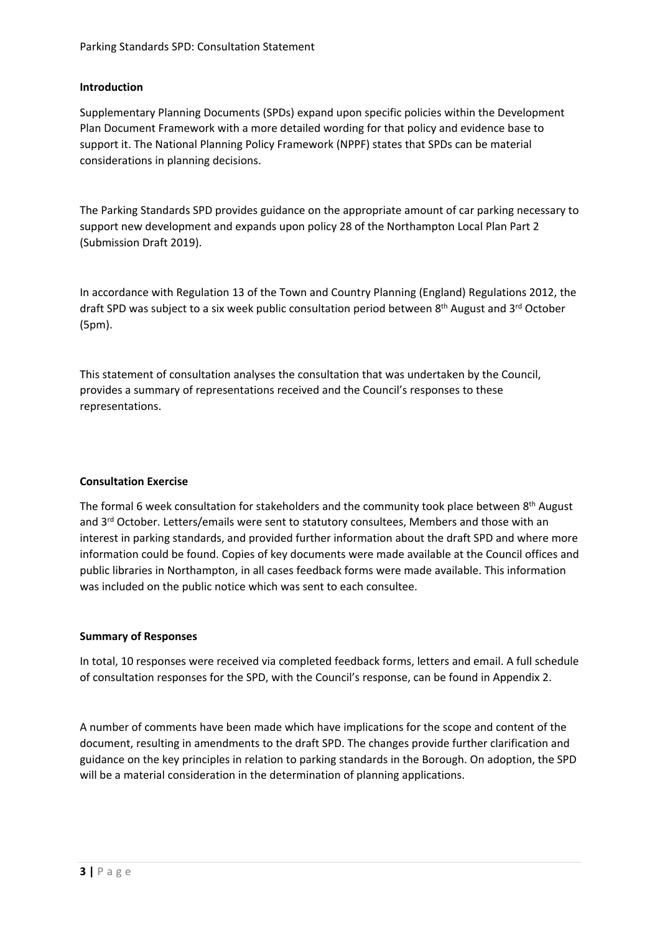### **Introduction**

Supplementary Planning Documents (SPDs) expand upon specific policies within the Development Plan Document Framework with a more detailed wording for that policy and evidence base to support it. The National Planning Policy Framework (NPPF) states that SPDs can be material considerations in planning decisions.

The Parking Standards SPD provides guidance on the appropriate amount of car parking necessary to support new development and expands upon policy 28 of the Northampton Local Plan Part 2 (Submission Draft 2019).

In accordance with Regulation 13 of the Town and Country Planning (England) Regulations 2012, the draft SPD was subject to a six week public consultation period between 8<sup>th</sup> August and 3<sup>rd</sup> October (5pm).

This statement of consultation analyses the consultation that was undertaken by the Council, provides a summary of representations received and the Council's responses to these representations.

#### **Consultation Exercise**

The formal 6 week consultation for stakeholders and the community took place between 8<sup>th</sup> August and 3<sup>rd</sup> October. Letters/emails were sent to statutory consultees, Members and those with an interest in parking standards, and provided further information about the draft SPD and where more information could be found. Copies of key documents were made available at the Council offices and public libraries in Northampton, in all cases feedback forms were made available. This information was included on the public notice which was sent to each consultee.

#### **Summary of Responses**

In total, 10 responses were received via completed feedback forms, letters and email. A full schedule of consultation responses for the SPD, with the Council's response, can be found in Appendix 2.

A number of comments have been made which have implications for the scope and content of the document, resulting in amendments to the draft SPD. The changes provide further clarification and guidance on the key principles in relation to parking standards in the Borough. On adoption, the SPD will be a material consideration in the determination of planning applications.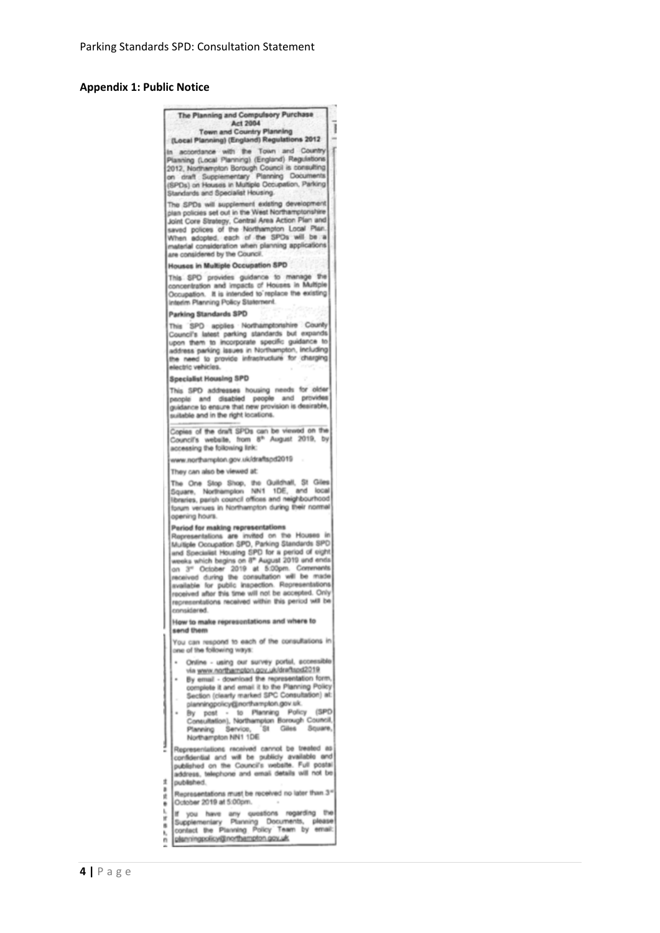#### **Appendix 1: Public Notice**



ì, If you have any questions regarding the<br>Supplementary Planning Documents, please<br>contact the Planning Policy Team by email: ×  $\frac{1}{n}$ planningpolicy@northempton.gov.uk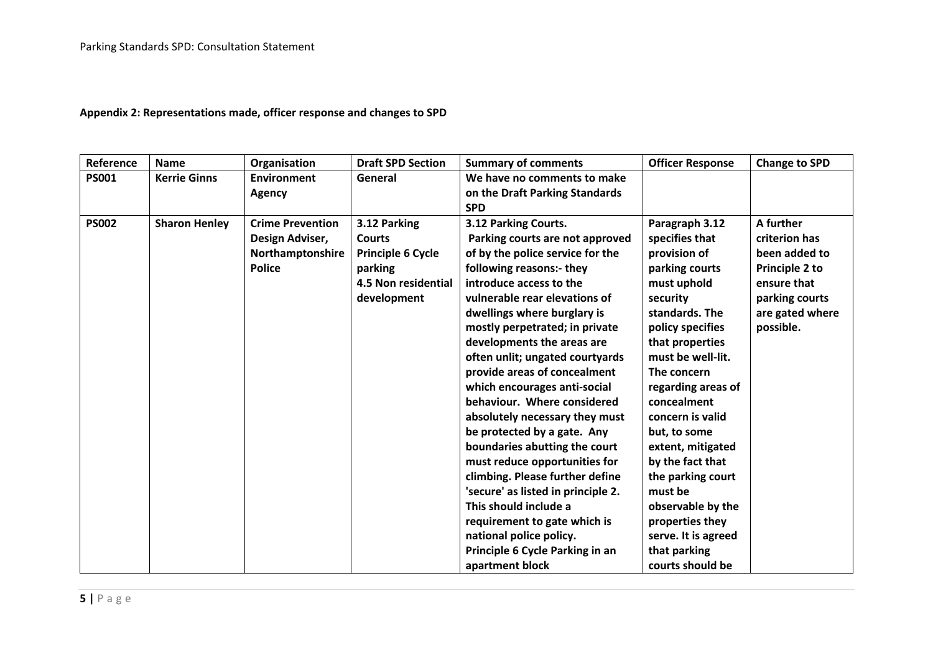| Reference    | <b>Name</b>          | Organisation                                                                    | <b>Draft SPD Section</b>                                                                                   | <b>Summary of comments</b>                                                                                                                                                                                                                                                                                                                                                                                                                                                                                                                                                                                                                                                                                                                                                 | <b>Officer Response</b>                                                                                                                                                                                                                                                                                                                                                                                                                         | <b>Change to SPD</b>                                                                                                           |
|--------------|----------------------|---------------------------------------------------------------------------------|------------------------------------------------------------------------------------------------------------|----------------------------------------------------------------------------------------------------------------------------------------------------------------------------------------------------------------------------------------------------------------------------------------------------------------------------------------------------------------------------------------------------------------------------------------------------------------------------------------------------------------------------------------------------------------------------------------------------------------------------------------------------------------------------------------------------------------------------------------------------------------------------|-------------------------------------------------------------------------------------------------------------------------------------------------------------------------------------------------------------------------------------------------------------------------------------------------------------------------------------------------------------------------------------------------------------------------------------------------|--------------------------------------------------------------------------------------------------------------------------------|
| <b>PS001</b> | <b>Kerrie Ginns</b>  | <b>Environment</b><br><b>Agency</b>                                             | General                                                                                                    | We have no comments to make<br>on the Draft Parking Standards<br><b>SPD</b>                                                                                                                                                                                                                                                                                                                                                                                                                                                                                                                                                                                                                                                                                                |                                                                                                                                                                                                                                                                                                                                                                                                                                                 |                                                                                                                                |
| <b>PS002</b> | <b>Sharon Henley</b> | <b>Crime Prevention</b><br>Design Adviser,<br>Northamptonshire<br><b>Police</b> | 3.12 Parking<br><b>Courts</b><br>Principle 6 Cycle<br>parking<br><b>4.5 Non residential</b><br>development | 3.12 Parking Courts.<br>Parking courts are not approved<br>of by the police service for the<br>following reasons:- they<br>introduce access to the<br>vulnerable rear elevations of<br>dwellings where burglary is<br>mostly perpetrated; in private<br>developments the areas are<br>often unlit; ungated courtyards<br>provide areas of concealment<br>which encourages anti-social<br>behaviour. Where considered<br>absolutely necessary they must<br>be protected by a gate. Any<br>boundaries abutting the court<br>must reduce opportunities for<br>climbing. Please further define<br>'secure' as listed in principle 2.<br>This should include a<br>requirement to gate which is<br>national police policy.<br>Principle 6 Cycle Parking in an<br>apartment block | Paragraph 3.12<br>specifies that<br>provision of<br>parking courts<br>must uphold<br>security<br>standards. The<br>policy specifies<br>that properties<br>must be well-lit.<br>The concern<br>regarding areas of<br>concealment<br>concern is valid<br>but, to some<br>extent, mitigated<br>by the fact that<br>the parking court<br>must be<br>observable by the<br>properties they<br>serve. It is agreed<br>that parking<br>courts should be | A further<br>criterion has<br>been added to<br>Principle 2 to<br>ensure that<br>parking courts<br>are gated where<br>possible. |

## **Appendix 2: Representations made, officer response and changes to SPD**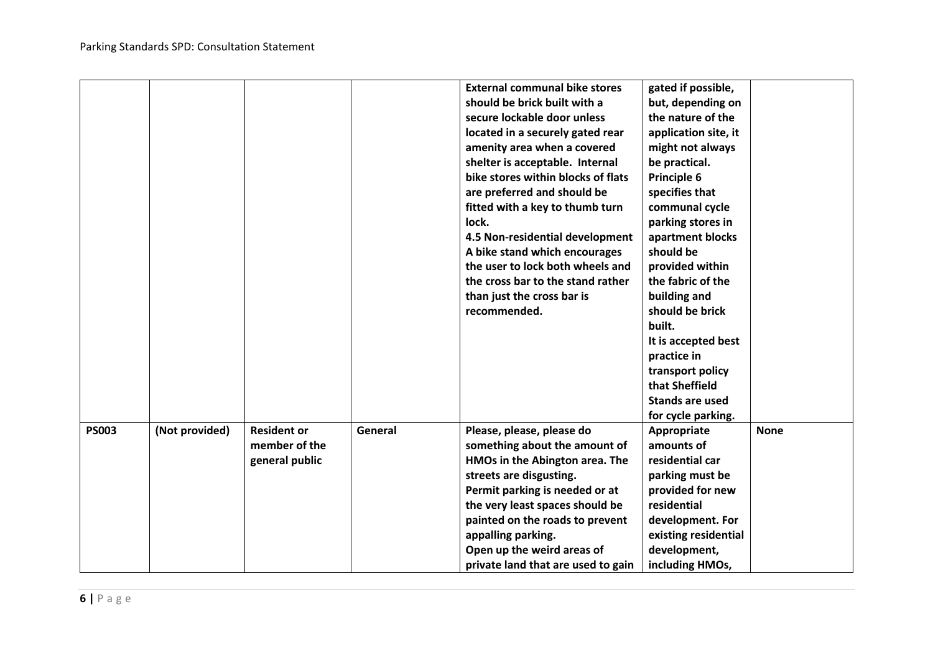|              |                |                                                       |         | <b>External communal bike stores</b><br>should be brick built with a<br>secure lockable door unless<br>located in a securely gated rear<br>amenity area when a covered<br>shelter is acceptable. Internal<br>bike stores within blocks of flats<br>are preferred and should be<br>fitted with a key to thumb turn<br>lock.<br>4.5 Non-residential development<br>A bike stand which encourages<br>the user to lock both wheels and<br>the cross bar to the stand rather<br>than just the cross bar is<br>recommended. | gated if possible,<br>but, depending on<br>the nature of the<br>application site, it<br>might not always<br>be practical.<br>Principle 6<br>specifies that<br>communal cycle<br>parking stores in<br>apartment blocks<br>should be<br>provided within<br>the fabric of the<br>building and<br>should be brick<br>built.<br>It is accepted best<br>practice in<br>transport policy<br>that Sheffield<br><b>Stands are used</b><br>for cycle parking. |             |
|--------------|----------------|-------------------------------------------------------|---------|-----------------------------------------------------------------------------------------------------------------------------------------------------------------------------------------------------------------------------------------------------------------------------------------------------------------------------------------------------------------------------------------------------------------------------------------------------------------------------------------------------------------------|-----------------------------------------------------------------------------------------------------------------------------------------------------------------------------------------------------------------------------------------------------------------------------------------------------------------------------------------------------------------------------------------------------------------------------------------------------|-------------|
| <b>PS003</b> | (Not provided) | <b>Resident or</b><br>member of the<br>general public | General | Please, please, please do<br>something about the amount of<br>HMOs in the Abington area. The<br>streets are disgusting.<br>Permit parking is needed or at<br>the very least spaces should be<br>painted on the roads to prevent<br>appalling parking.<br>Open up the weird areas of<br>private land that are used to gain                                                                                                                                                                                             | Appropriate<br>amounts of<br>residential car<br>parking must be<br>provided for new<br>residential<br>development. For<br>existing residential<br>development,<br>including HMOs,                                                                                                                                                                                                                                                                   | <b>None</b> |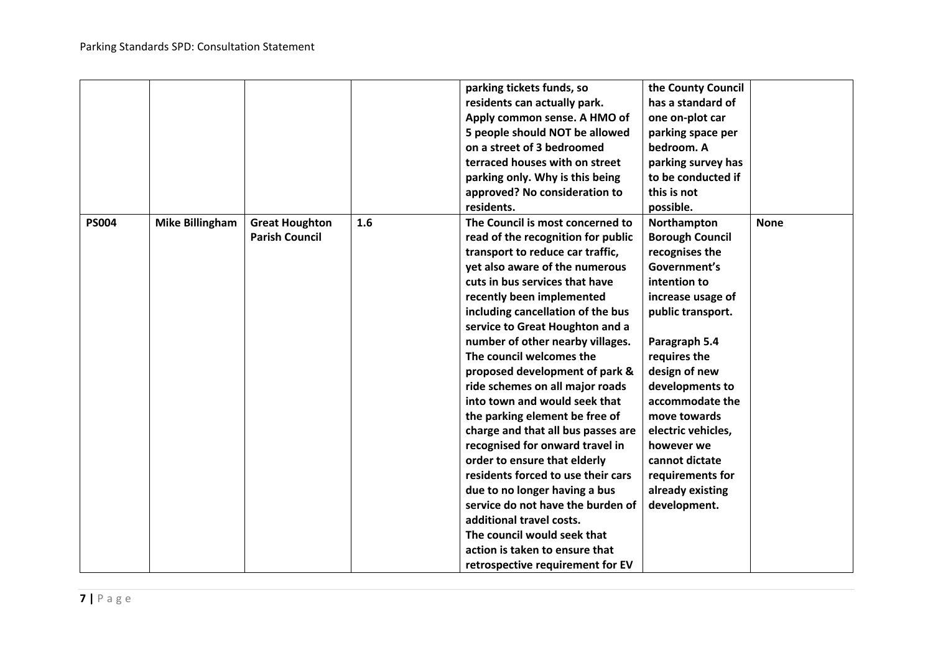|              |                        |                       |     | parking tickets funds, so          | the County Council     |             |
|--------------|------------------------|-----------------------|-----|------------------------------------|------------------------|-------------|
|              |                        |                       |     | residents can actually park.       | has a standard of      |             |
|              |                        |                       |     | Apply common sense. A HMO of       | one on-plot car        |             |
|              |                        |                       |     | 5 people should NOT be allowed     | parking space per      |             |
|              |                        |                       |     | on a street of 3 bedroomed         | bedroom. A             |             |
|              |                        |                       |     | terraced houses with on street     | parking survey has     |             |
|              |                        |                       |     | parking only. Why is this being    | to be conducted if     |             |
|              |                        |                       |     | approved? No consideration to      | this is not            |             |
|              |                        |                       |     | residents.                         | possible.              |             |
| <b>PS004</b> | <b>Mike Billingham</b> | <b>Great Houghton</b> | 1.6 | The Council is most concerned to   | Northampton            | <b>None</b> |
|              |                        | <b>Parish Council</b> |     | read of the recognition for public | <b>Borough Council</b> |             |
|              |                        |                       |     | transport to reduce car traffic,   | recognises the         |             |
|              |                        |                       |     | yet also aware of the numerous     | Government's           |             |
|              |                        |                       |     | cuts in bus services that have     | intention to           |             |
|              |                        |                       |     | recently been implemented          | increase usage of      |             |
|              |                        |                       |     | including cancellation of the bus  | public transport.      |             |
|              |                        |                       |     | service to Great Houghton and a    |                        |             |
|              |                        |                       |     | number of other nearby villages.   | Paragraph 5.4          |             |
|              |                        |                       |     | The council welcomes the           | requires the           |             |
|              |                        |                       |     | proposed development of park &     | design of new          |             |
|              |                        |                       |     | ride schemes on all major roads    | developments to        |             |
|              |                        |                       |     | into town and would seek that      | accommodate the        |             |
|              |                        |                       |     | the parking element be free of     | move towards           |             |
|              |                        |                       |     | charge and that all bus passes are | electric vehicles,     |             |
|              |                        |                       |     | recognised for onward travel in    | however we             |             |
|              |                        |                       |     | order to ensure that elderly       | cannot dictate         |             |
|              |                        |                       |     | residents forced to use their cars | requirements for       |             |
|              |                        |                       |     | due to no longer having a bus      | already existing       |             |
|              |                        |                       |     | service do not have the burden of  | development.           |             |
|              |                        |                       |     | additional travel costs.           |                        |             |
|              |                        |                       |     | The council would seek that        |                        |             |
|              |                        |                       |     | action is taken to ensure that     |                        |             |
|              |                        |                       |     | retrospective requirement for EV   |                        |             |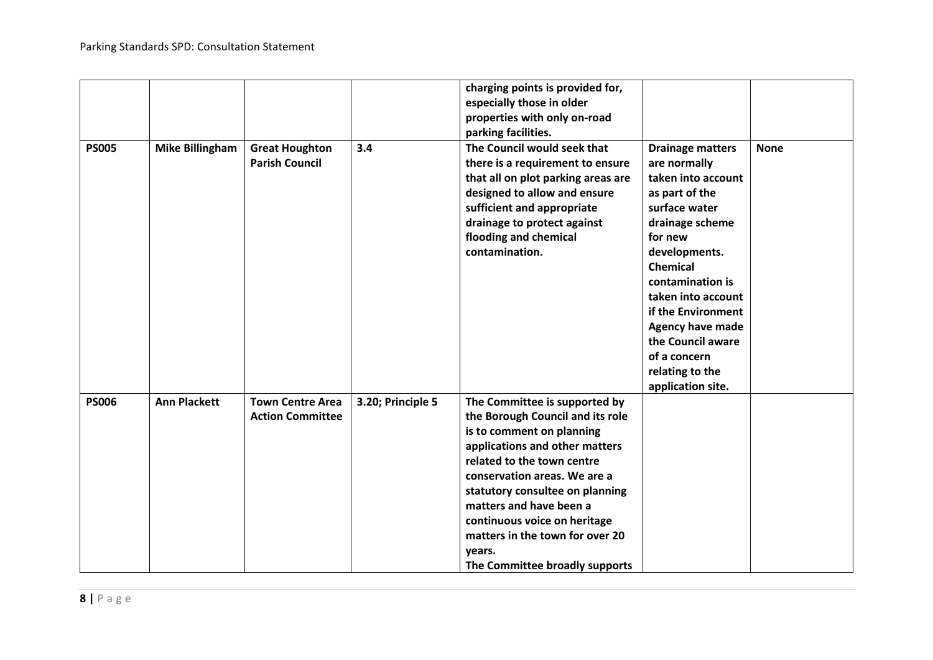|              |                        |                                                    |                   | charging points is provided for,<br>especially those in older<br>properties with only on-road<br>parking facilities.                                                                                                                                                                                                                                                        |                                                                                                                                                                                                                                                                                                                                     |             |
|--------------|------------------------|----------------------------------------------------|-------------------|-----------------------------------------------------------------------------------------------------------------------------------------------------------------------------------------------------------------------------------------------------------------------------------------------------------------------------------------------------------------------------|-------------------------------------------------------------------------------------------------------------------------------------------------------------------------------------------------------------------------------------------------------------------------------------------------------------------------------------|-------------|
| <b>PS005</b> | <b>Mike Billingham</b> | <b>Great Houghton</b><br><b>Parish Council</b>     | 3.4               | The Council would seek that<br>there is a requirement to ensure<br>that all on plot parking areas are<br>designed to allow and ensure<br>sufficient and appropriate<br>drainage to protect against<br>flooding and chemical<br>contamination.                                                                                                                               | <b>Drainage matters</b><br>are normally<br>taken into account<br>as part of the<br>surface water<br>drainage scheme<br>for new<br>developments.<br><b>Chemical</b><br>contamination is<br>taken into account<br>if the Environment<br>Agency have made<br>the Council aware<br>of a concern<br>relating to the<br>application site. | <b>None</b> |
| <b>PS006</b> | <b>Ann Plackett</b>    | <b>Town Centre Area</b><br><b>Action Committee</b> | 3.20; Principle 5 | The Committee is supported by<br>the Borough Council and its role<br>is to comment on planning<br>applications and other matters<br>related to the town centre<br>conservation areas. We are a<br>statutory consultee on planning<br>matters and have been a<br>continuous voice on heritage<br>matters in the town for over 20<br>years.<br>The Committee broadly supports |                                                                                                                                                                                                                                                                                                                                     |             |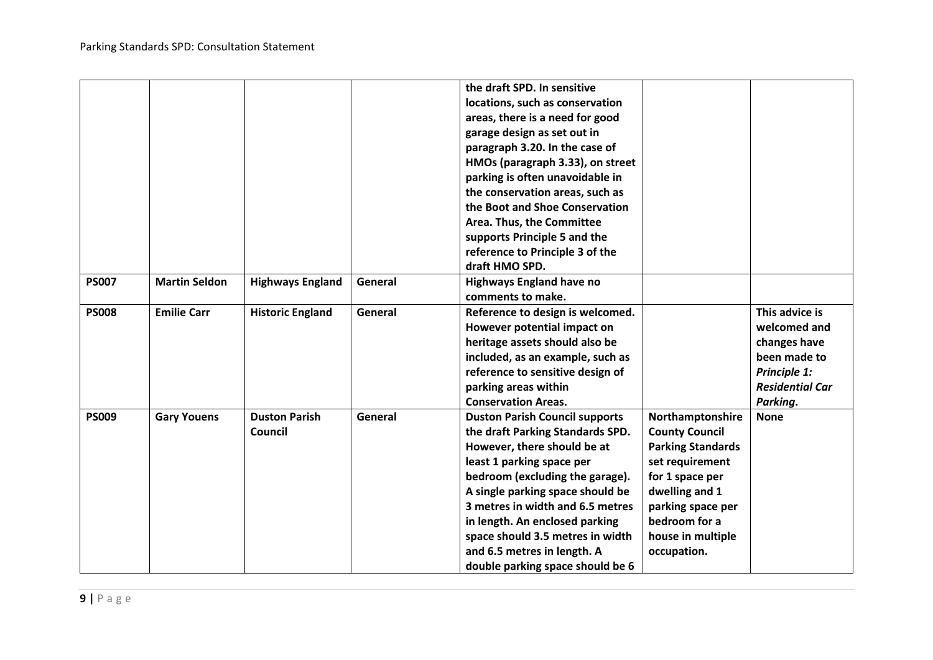|              |                      |                         |         | the draft SPD. In sensitive           |                          |                        |
|--------------|----------------------|-------------------------|---------|---------------------------------------|--------------------------|------------------------|
|              |                      |                         |         | locations, such as conservation       |                          |                        |
|              |                      |                         |         | areas, there is a need for good       |                          |                        |
|              |                      |                         |         | garage design as set out in           |                          |                        |
|              |                      |                         |         | paragraph 3.20. In the case of        |                          |                        |
|              |                      |                         |         | HMOs (paragraph 3.33), on street      |                          |                        |
|              |                      |                         |         | parking is often unavoidable in       |                          |                        |
|              |                      |                         |         | the conservation areas, such as       |                          |                        |
|              |                      |                         |         | the Boot and Shoe Conservation        |                          |                        |
|              |                      |                         |         | Area. Thus, the Committee             |                          |                        |
|              |                      |                         |         | supports Principle 5 and the          |                          |                        |
|              |                      |                         |         | reference to Principle 3 of the       |                          |                        |
|              |                      |                         |         | draft HMO SPD.                        |                          |                        |
| <b>PS007</b> | <b>Martin Seldon</b> | <b>Highways England</b> | General | <b>Highways England have no</b>       |                          |                        |
|              |                      |                         |         | comments to make.                     |                          |                        |
| <b>PS008</b> | <b>Emilie Carr</b>   | <b>Historic England</b> | General | Reference to design is welcomed.      |                          | This advice is         |
|              |                      |                         |         | However potential impact on           |                          | welcomed and           |
|              |                      |                         |         | heritage assets should also be        |                          | changes have           |
|              |                      |                         |         | included, as an example, such as      |                          | been made to           |
|              |                      |                         |         | reference to sensitive design of      |                          | Principle 1:           |
|              |                      |                         |         | parking areas within                  |                          | <b>Residential Car</b> |
|              |                      |                         |         | <b>Conservation Areas.</b>            |                          | Parking.               |
| <b>PS009</b> | <b>Gary Youens</b>   | <b>Duston Parish</b>    | General | <b>Duston Parish Council supports</b> | Northamptonshire         | <b>None</b>            |
|              |                      | Council                 |         | the draft Parking Standards SPD.      | <b>County Council</b>    |                        |
|              |                      |                         |         | However, there should be at           | <b>Parking Standards</b> |                        |
|              |                      |                         |         | least 1 parking space per             | set requirement          |                        |
|              |                      |                         |         | bedroom (excluding the garage).       | for 1 space per          |                        |
|              |                      |                         |         | A single parking space should be      | dwelling and 1           |                        |
|              |                      |                         |         | 3 metres in width and 6.5 metres      | parking space per        |                        |
|              |                      |                         |         | in length. An enclosed parking        | bedroom for a            |                        |
|              |                      |                         |         | space should 3.5 metres in width      | house in multiple        |                        |
|              |                      |                         |         | and 6.5 metres in length. A           | occupation.              |                        |
|              |                      |                         |         | double parking space should be 6      |                          |                        |